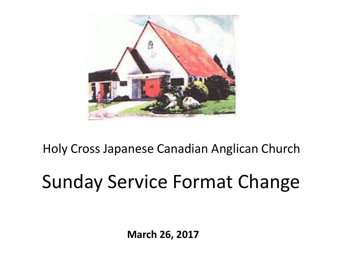

#### Holy Cross Japanese Canadian Anglican Church

# Sunday Service Format Change

**March 26, 2017**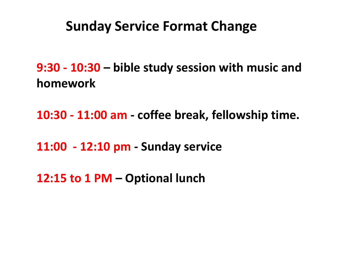#### **Sunday Service Format Change**

**9:30 - 10:30 – bible study session with music and homework**

**10:30 - 11:00 am - coffee break, fellowship time.**

**11:00 - 12:10 pm - Sunday service**

**12:15 to 1 PM – Optional lunch**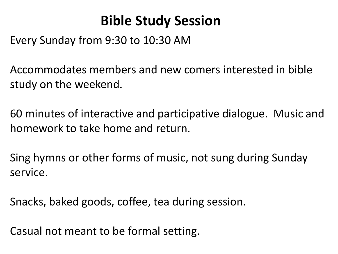#### **Bible Study Session**

Every Sunday from 9:30 to 10:30 AM

Accommodates members and new comers interested in bible study on the weekend.

60 minutes of interactive and participative dialogue. Music and homework to take home and return.

Sing hymns or other forms of music, not sung during Sunday service.

Snacks, baked goods, coffee, tea during session.

Casual not meant to be formal setting.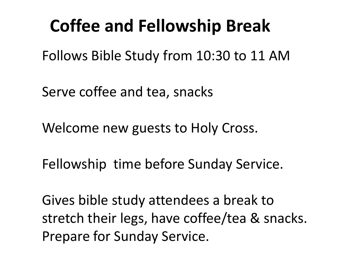## **Coffee and Fellowship Break**

Follows Bible Study from 10:30 to 11 AM

Serve coffee and tea, snacks

Welcome new guests to Holy Cross.

Fellowship time before Sunday Service.

Gives bible study attendees a break to stretch their legs, have coffee/tea & snacks. Prepare for Sunday Service.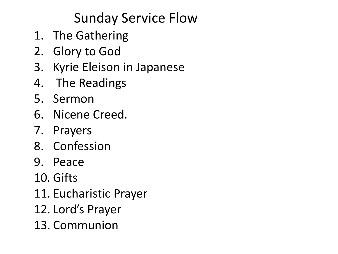### Sunday Service Flow

- 1. The Gathering
- 2. Glory to God
- 3. Kyrie Eleison in Japanese
- 4. The Readings
- 5. Sermon
- 6. Nicene Creed.
- 7. Prayers
- 8. Confession
- 9. Peace
- 10. Gifts
- 11. Eucharistic Prayer
- 12. Lord's Prayer
- 13. Communion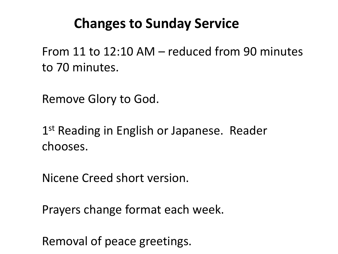#### **Changes to Sunday Service**

From 11 to 12:10 AM – reduced from 90 minutes to 70 minutes.

Remove Glory to God.

1<sup>st</sup> Reading in English or Japanese. Reader chooses.

Nicene Creed short version.

Prayers change format each week.

Removal of peace greetings.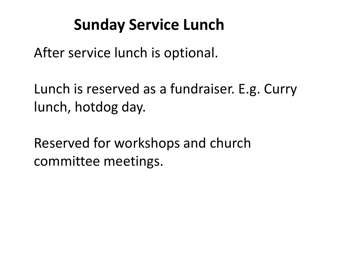## **Sunday Service Lunch**

After service lunch is optional.

Lunch is reserved as a fundraiser. E.g. Curry lunch, hotdog day.

Reserved for workshops and church committee meetings.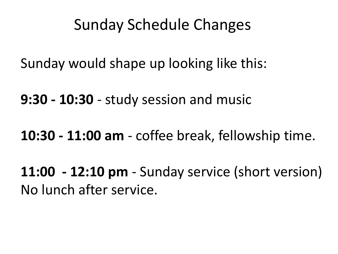### Sunday Schedule Changes

Sunday would shape up looking like this:

**9:30 - 10:30** - study session and music

**10:30 - 11:00 am** - coffee break, fellowship time.

**11:00 - 12:10 pm** - Sunday service (short version) No lunch after service.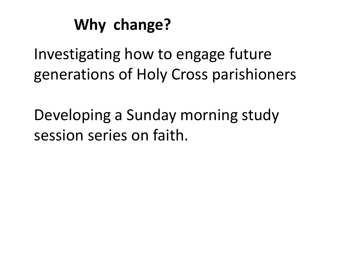## **Why change?**

Investigating how to engage future generations of Holy Cross parishioners

Developing a Sunday morning study session series on faith.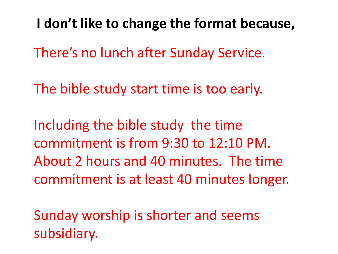**I don't like to change the format because,**

There's no lunch after Sunday Service.

The bible study start time is too early.

Including the bible study the time commitment is from 9:30 to 12:10 PM. About 2 hours and 40 minutes. The time commitment is at least 40 minutes longer.

Sunday worship is shorter and seems subsidiary.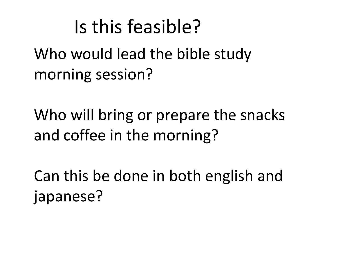## Is this feasible?

Who would lead the bible study morning session?

Who will bring or prepare the snacks and coffee in the morning?

Can this be done in both english and japanese?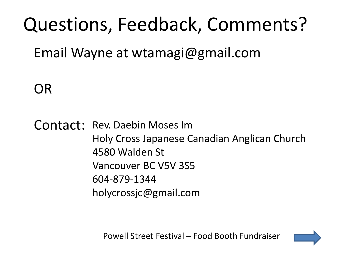# Questions, Feedback, Comments?

Email Wayne at wtamagi@gmail.com

OR

Contact: Rev. Daebin Moses Im Holy Cross Japanese Canadian Anglican Church 4580 Walden St Vancouver BC V5V 3S5 604-879-1344 holycrossjc@gmail.com

Powell Street Festival – Food Booth Fundraiser